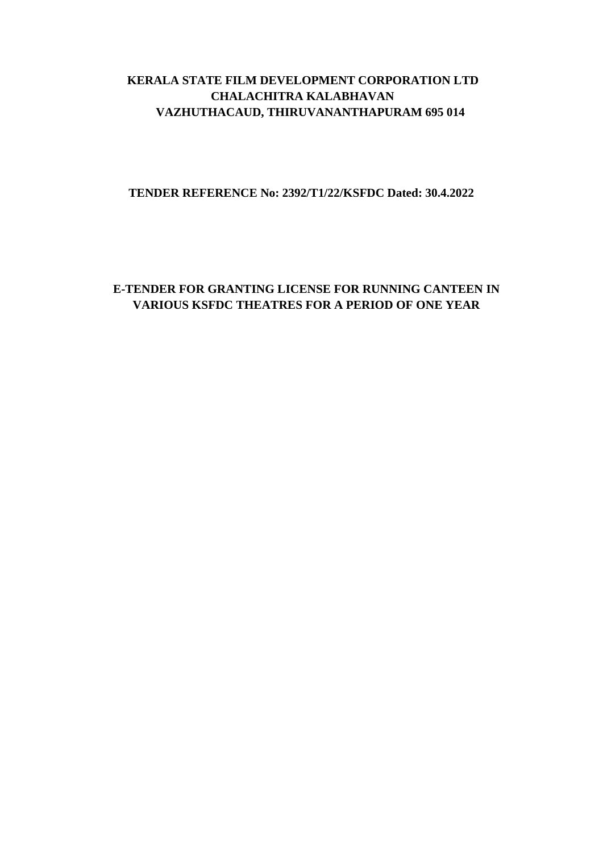## **KERALA STATE FILM DEVELOPMENT CORPORATION LTD CHALACHITRA KALABHAVAN VAZHUTHACAUD, THIRUVANANTHAPURAM 695 014**

**TENDER REFERENCE No: 2392/T1/22/KSFDC Dated: 30.4.2022**

# **E-TENDER FOR GRANTING LICENSE FOR RUNNING CANTEEN IN VARIOUS KSFDC THEATRES FOR A PERIOD OF ONE YEAR**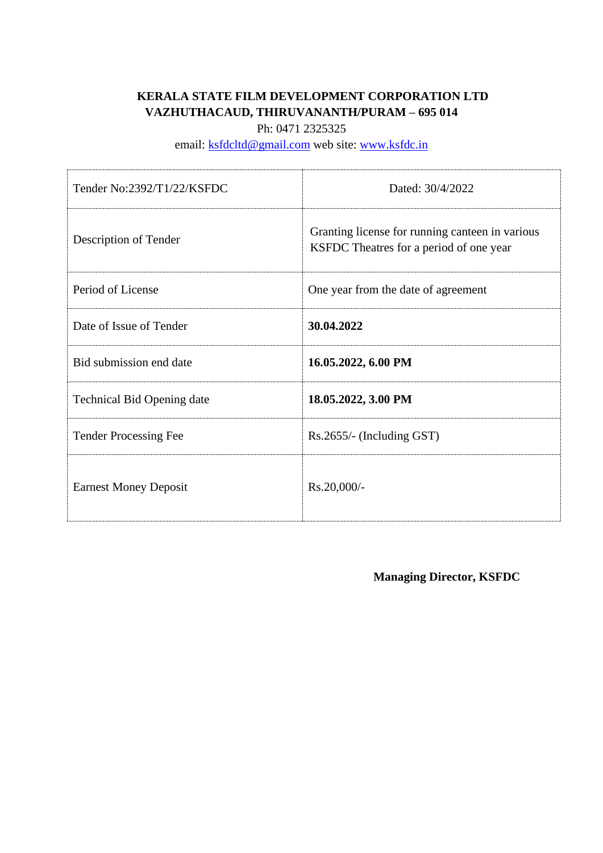# **KERALA STATE FILM DEVELOPMENT CORPORATION LTD VAZHUTHACAUD, THIRUVANANTH/PURAM – 695 014**

Ph: 0471 2325325

email: [ksfdcltd@gmail.com](mailto:ksfdcltd@gmail.com) web site: [www.ksfdc.in](http://www.ksfdc.in/)

| Tender No:2392/T1/22/KSFDC        | Dated: 30/4/2022                                                                           |
|-----------------------------------|--------------------------------------------------------------------------------------------|
| Description of Tender             | Granting license for running canteen in various<br>KSFDC Theatres for a period of one year |
| Period of License                 | One year from the date of agreement                                                        |
| Date of Issue of Tender           | 30.04.2022                                                                                 |
| Bid submission end date           | 16.05.2022, 6.00 PM                                                                        |
| <b>Technical Bid Opening date</b> | 18.05.2022, 3.00 PM                                                                        |
| <b>Tender Processing Fee</b>      | $Rs.2655/-$ (Including GST)                                                                |
| <b>Earnest Money Deposit</b>      | Rs.20,000/-                                                                                |

**Managing Director, KSFDC**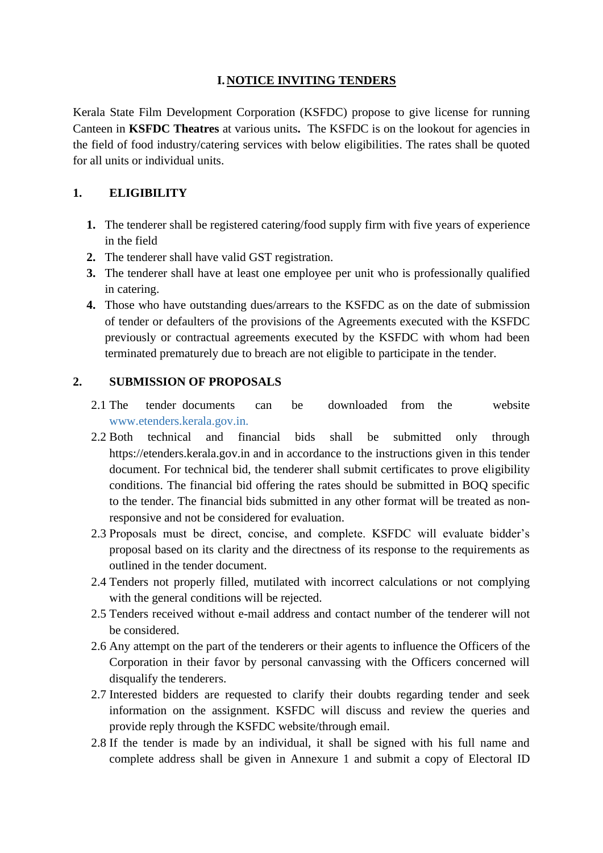### **I.NOTICE INVITING TENDERS**

Kerala State Film Development Corporation (KSFDC) propose to give license for running Canteen in **KSFDC Theatres** at various units**.** The KSFDC is on the lookout for agencies in the field of food industry/catering services with below eligibilities. The rates shall be quoted for all units or individual units.

### **1. ELIGIBILITY**

- **1.** The tenderer shall be registered catering/food supply firm with five years of experience in the field
- **2.** The tenderer shall have valid GST registration.
- **3.** The tenderer shall have at least one employee per unit who is professionally qualified in catering.
- **4.** Those who have outstanding dues/arrears to the KSFDC as on the date of submission of tender or defaulters of the provisions of the Agreements executed with the KSFDC previously or contractual agreements executed by the KSFDC with whom had been terminated prematurely due to breach are not eligible to participate in the tender.

### **2. SUBMISSION OF PROPOSALS**

- 2.1 The tender documents can be downloaded from the website www.etenders.kerala.gov.in.
- 2.2 Both technical and financial bids shall be submitted only through https://etenders.kerala.gov.in and in accordance to the instructions given in this tender document. For technical bid, the tenderer shall submit certificates to prove eligibility conditions. The financial bid offering the rates should be submitted in BOQ specific to the tender. The financial bids submitted in any other format will be treated as nonresponsive and not be considered for evaluation.
- 2.3 Proposals must be direct, concise, and complete. KSFDC will evaluate bidder's proposal based on its clarity and the directness of its response to the requirements as outlined in the tender document.
- 2.4 Tenders not properly filled, mutilated with incorrect calculations or not complying with the general conditions will be rejected.
- 2.5 Tenders received without e-mail address and contact number of the tenderer will not be considered.
- 2.6 Any attempt on the part of the tenderers or their agents to influence the Officers of the Corporation in their favor by personal canvassing with the Officers concerned will disqualify the tenderers.
- 2.7 Interested bidders are requested to clarify their doubts regarding tender and seek information on the assignment. KSFDC will discuss and review the queries and provide reply through the KSFDC website/through email.
- 2.8 If the tender is made by an individual, it shall be signed with his full name and complete address shall be given in Annexure 1 and submit a copy of Electoral ID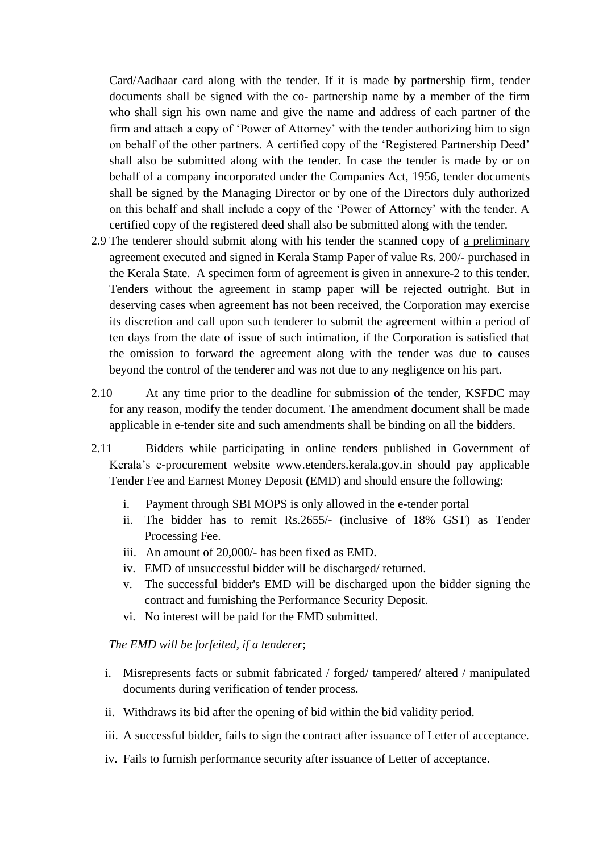Card/Aadhaar card along with the tender. If it is made by partnership firm, tender documents shall be signed with the co- partnership name by a member of the firm who shall sign his own name and give the name and address of each partner of the firm and attach a copy of 'Power of Attorney' with the tender authorizing him to sign on behalf of the other partners. A certified copy of the 'Registered Partnership Deed' shall also be submitted along with the tender. In case the tender is made by or on behalf of a company incorporated under the Companies Act, 1956, tender documents shall be signed by the Managing Director or by one of the Directors duly authorized on this behalf and shall include a copy of the 'Power of Attorney' with the tender. A certified copy of the registered deed shall also be submitted along with the tender.

- 2.9 The tenderer should submit along with his tender the scanned copy of a preliminary agreement executed and signed in Kerala Stamp Paper of value Rs. 200/- purchased in the Kerala State. A specimen form of agreement is given in annexure-2 to this tender. Tenders without the agreement in stamp paper will be rejected outright. But in deserving cases when agreement has not been received, the Corporation may exercise its discretion and call upon such tenderer to submit the agreement within a period of ten days from the date of issue of such intimation, if the Corporation is satisfied that the omission to forward the agreement along with the tender was due to causes beyond the control of the tenderer and was not due to any negligence on his part.
- 2.10 At any time prior to the deadline for submission of the tender, KSFDC may for any reason, modify the tender document. The amendment document shall be made applicable in e-tender site and such amendments shall be binding on all the bidders.
- 2.11 Bidders while participating in online tenders published in Government of Kerala's e-procurement website www.etenders.kerala.gov.in should pay applicable Tender Fee and Earnest Money Deposit **(**EMD) and should ensure the following:
	- i. Payment through SBI MOPS is only allowed in the e-tender portal
	- ii. The bidder has to remit Rs.2655/- (inclusive of 18% GST) as Tender Processing Fee.
	- iii. An amount of 20,000/- has been fixed as EMD.
	- iv. EMD of unsuccessful bidder will be discharged/ returned.
	- v. The successful bidder's EMD will be discharged upon the bidder signing the contract and furnishing the Performance Security Deposit.
	- vi. No interest will be paid for the EMD submitted.

#### *The EMD will be forfeited, if a tenderer*;

- i. Misrepresents facts or submit fabricated / forged/ tampered/ altered / manipulated documents during verification of tender process.
- ii. Withdraws its bid after the opening of bid within the bid validity period.
- iii. A successful bidder, fails to sign the contract after issuance of Letter of acceptance.
- iv. Fails to furnish performance security after issuance of Letter of acceptance.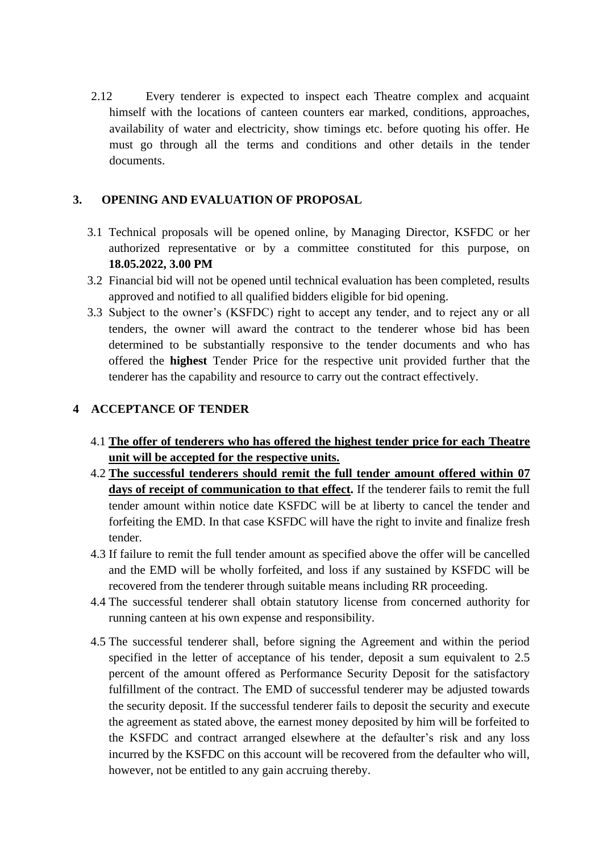2.12 Every tenderer is expected to inspect each Theatre complex and acquaint himself with the locations of canteen counters ear marked, conditions, approaches, availability of water and electricity, show timings etc. before quoting his offer. He must go through all the terms and conditions and other details in the tender documents.

### **3. OPENING AND EVALUATION OF PROPOSAL**

- 3.1 Technical proposals will be opened online, by Managing Director, KSFDC or her authorized representative or by a committee constituted for this purpose, on **18.05.2022, 3.00 PM**
- 3.2 Financial bid will not be opened until technical evaluation has been completed, results approved and notified to all qualified bidders eligible for bid opening.
- 3.3 Subject to the owner's (KSFDC) right to accept any tender, and to reject any or all tenders, the owner will award the contract to the tenderer whose bid has been determined to be substantially responsive to the tender documents and who has offered the **highest** Tender Price for the respective unit provided further that the tenderer has the capability and resource to carry out the contract effectively.

# **4 ACCEPTANCE OF TENDER**

- 4.1 **The offer of tenderers who has offered the highest tender price for each Theatre unit will be accepted for the respective units.**
- 4.2 **The successful tenderers should remit the full tender amount offered within 07 days of receipt of communication to that effect.** If the tenderer fails to remit the full tender amount within notice date KSFDC will be at liberty to cancel the tender and forfeiting the EMD. In that case KSFDC will have the right to invite and finalize fresh tender.
- 4.3 If failure to remit the full tender amount as specified above the offer will be cancelled and the EMD will be wholly forfeited, and loss if any sustained by KSFDC will be recovered from the tenderer through suitable means including RR proceeding.
- 4.4 The successful tenderer shall obtain statutory license from concerned authority for running canteen at his own expense and responsibility.
- 4.5 The successful tenderer shall, before signing the Agreement and within the period specified in the letter of acceptance of his tender, deposit a sum equivalent to 2.5 percent of the amount offered as Performance Security Deposit for the satisfactory fulfillment of the contract. The EMD of successful tenderer may be adjusted towards the security deposit. If the successful tenderer fails to deposit the security and execute the agreement as stated above, the earnest money deposited by him will be forfeited to the KSFDC and contract arranged elsewhere at the defaulter's risk and any loss incurred by the KSFDC on this account will be recovered from the defaulter who will, however, not be entitled to any gain accruing thereby.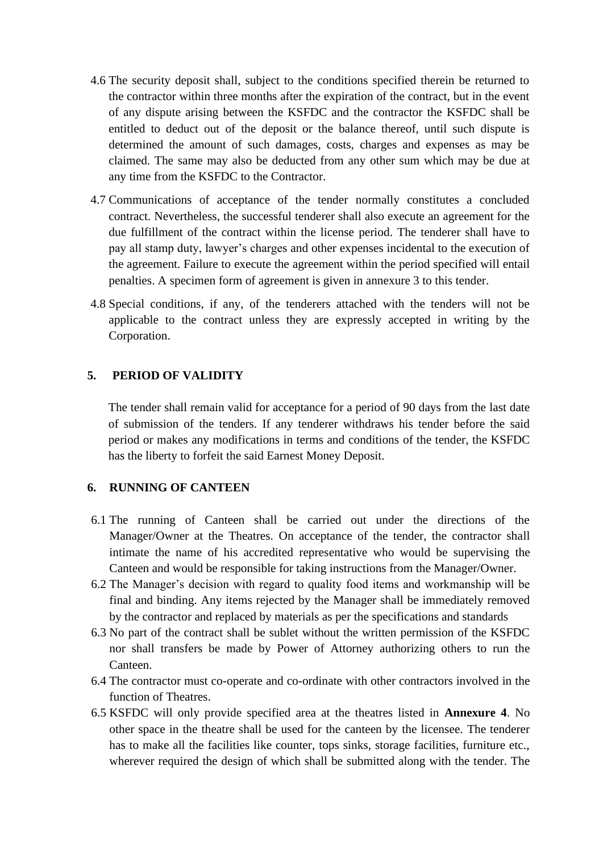- 4.6 The security deposit shall, subject to the conditions specified therein be returned to the contractor within three months after the expiration of the contract, but in the event of any dispute arising between the KSFDC and the contractor the KSFDC shall be entitled to deduct out of the deposit or the balance thereof, until such dispute is determined the amount of such damages, costs, charges and expenses as may be claimed. The same may also be deducted from any other sum which may be due at any time from the KSFDC to the Contractor.
- 4.7 Communications of acceptance of the tender normally constitutes a concluded contract. Nevertheless, the successful tenderer shall also execute an agreement for the due fulfillment of the contract within the license period. The tenderer shall have to pay all stamp duty, lawyer's charges and other expenses incidental to the execution of the agreement. Failure to execute the agreement within the period specified will entail penalties. A specimen form of agreement is given in annexure 3 to this tender.
- 4.8 Special conditions, if any, of the tenderers attached with the tenders will not be applicable to the contract unless they are expressly accepted in writing by the Corporation.

#### **5. PERIOD OF VALIDITY**

The tender shall remain valid for acceptance for a period of 90 days from the last date of submission of the tenders. If any tenderer withdraws his tender before the said period or makes any modifications in terms and conditions of the tender, the KSFDC has the liberty to forfeit the said Earnest Money Deposit.

#### **6. RUNNING OF CANTEEN**

- 6.1 The running of Canteen shall be carried out under the directions of the Manager/Owner at the Theatres. On acceptance of the tender, the contractor shall intimate the name of his accredited representative who would be supervising the Canteen and would be responsible for taking instructions from the Manager/Owner.
- 6.2 The Manager's decision with regard to quality food items and workmanship will be final and binding. Any items rejected by the Manager shall be immediately removed by the contractor and replaced by materials as per the specifications and standards
- 6.3 No part of the contract shall be sublet without the written permission of the KSFDC nor shall transfers be made by Power of Attorney authorizing others to run the Canteen.
- 6.4 The contractor must co-operate and co-ordinate with other contractors involved in the function of Theatres.
- 6.5 KSFDC will only provide specified area at the theatres listed in **Annexure 4**. No other space in the theatre shall be used for the canteen by the licensee. The tenderer has to make all the facilities like counter, tops sinks, storage facilities, furniture etc., wherever required the design of which shall be submitted along with the tender. The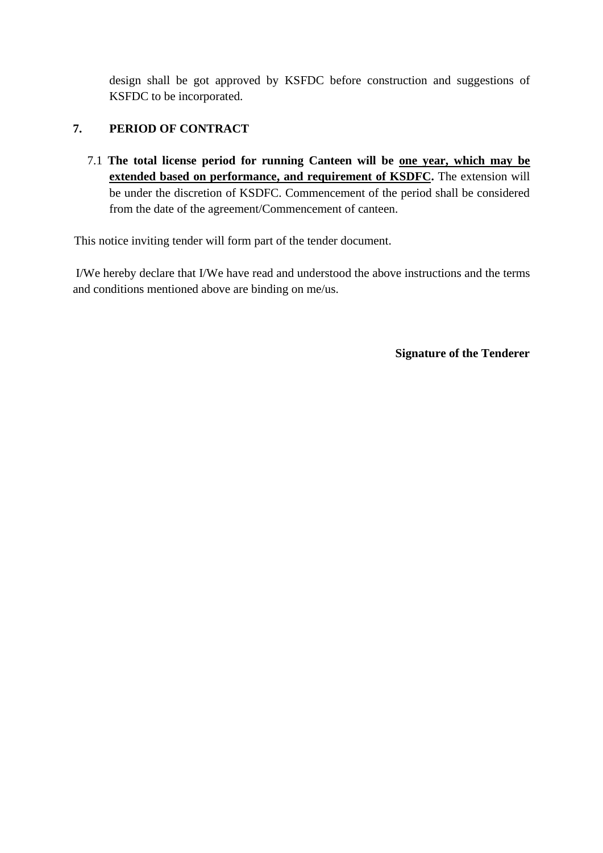design shall be got approved by KSFDC before construction and suggestions of KSFDC to be incorporated.

### **7. PERIOD OF CONTRACT**

7.1 **The total license period for running Canteen will be one year, which may be extended based on performance, and requirement of KSDFC.** The extension will be under the discretion of KSDFC. Commencement of the period shall be considered from the date of the agreement/Commencement of canteen.

This notice inviting tender will form part of the tender document.

I/We hereby declare that I/We have read and understood the above instructions and the terms and conditions mentioned above are binding on me/us.

**Signature of the Tenderer**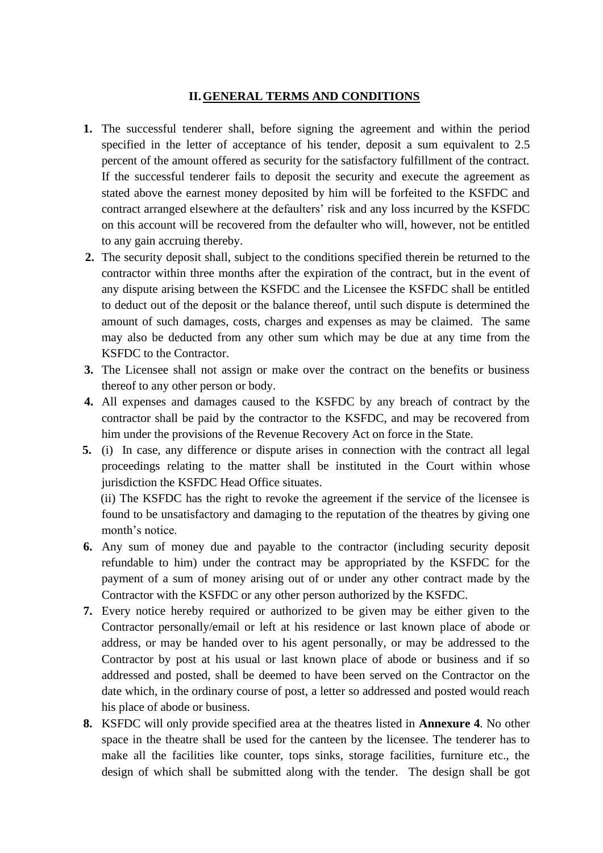#### **II.GENERAL TERMS AND CONDITIONS**

- **1.** The successful tenderer shall, before signing the agreement and within the period specified in the letter of acceptance of his tender, deposit a sum equivalent to 2.5 percent of the amount offered as security for the satisfactory fulfillment of the contract. If the successful tenderer fails to deposit the security and execute the agreement as stated above the earnest money deposited by him will be forfeited to the KSFDC and contract arranged elsewhere at the defaulters' risk and any loss incurred by the KSFDC on this account will be recovered from the defaulter who will, however, not be entitled to any gain accruing thereby.
- **2.** The security deposit shall, subject to the conditions specified therein be returned to the contractor within three months after the expiration of the contract, but in the event of any dispute arising between the KSFDC and the Licensee the KSFDC shall be entitled to deduct out of the deposit or the balance thereof, until such dispute is determined the amount of such damages, costs, charges and expenses as may be claimed. The same may also be deducted from any other sum which may be due at any time from the KSFDC to the Contractor.
- **3.** The Licensee shall not assign or make over the contract on the benefits or business thereof to any other person or body.
- **4.** All expenses and damages caused to the KSFDC by any breach of contract by the contractor shall be paid by the contractor to the KSFDC, and may be recovered from him under the provisions of the Revenue Recovery Act on force in the State.
- **5.** (i) In case, any difference or dispute arises in connection with the contract all legal proceedings relating to the matter shall be instituted in the Court within whose jurisdiction the KSFDC Head Office situates.

(ii) The KSFDC has the right to revoke the agreement if the service of the licensee is found to be unsatisfactory and damaging to the reputation of the theatres by giving one month's notice.

- **6.** Any sum of money due and payable to the contractor (including security deposit refundable to him) under the contract may be appropriated by the KSFDC for the payment of a sum of money arising out of or under any other contract made by the Contractor with the KSFDC or any other person authorized by the KSFDC.
- **7.** Every notice hereby required or authorized to be given may be either given to the Contractor personally/email or left at his residence or last known place of abode or address, or may be handed over to his agent personally, or may be addressed to the Contractor by post at his usual or last known place of abode or business and if so addressed and posted, shall be deemed to have been served on the Contractor on the date which, in the ordinary course of post, a letter so addressed and posted would reach his place of abode or business.
- **8.** KSFDC will only provide specified area at the theatres listed in **Annexure 4**. No other space in the theatre shall be used for the canteen by the licensee. The tenderer has to make all the facilities like counter, tops sinks, storage facilities, furniture etc., the design of which shall be submitted along with the tender. The design shall be got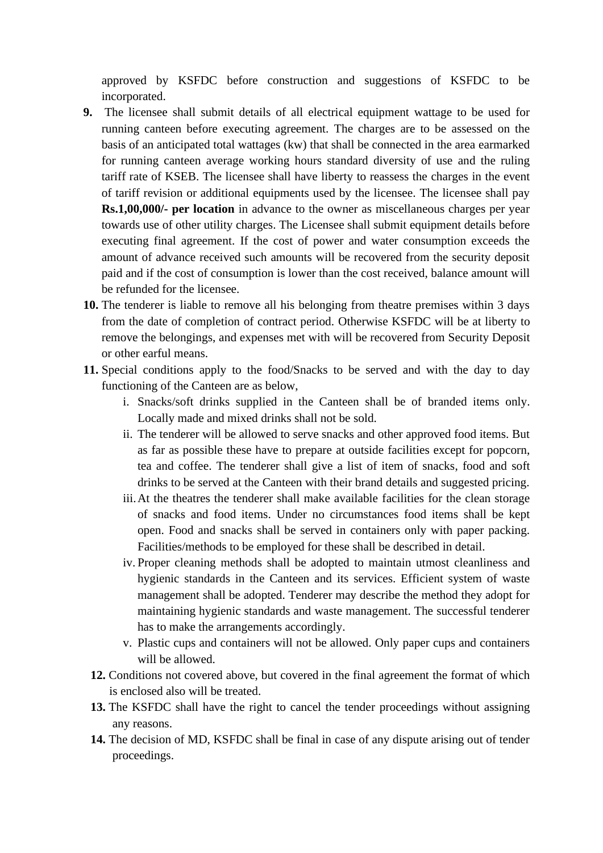approved by KSFDC before construction and suggestions of KSFDC to be incorporated.

- **9.** The licensee shall submit details of all electrical equipment wattage to be used for running canteen before executing agreement. The charges are to be assessed on the basis of an anticipated total wattages (kw) that shall be connected in the area earmarked for running canteen average working hours standard diversity of use and the ruling tariff rate of KSEB. The licensee shall have liberty to reassess the charges in the event of tariff revision or additional equipments used by the licensee. The licensee shall pay **Rs.1,00,000/- per location** in advance to the owner as miscellaneous charges per year towards use of other utility charges. The Licensee shall submit equipment details before executing final agreement. If the cost of power and water consumption exceeds the amount of advance received such amounts will be recovered from the security deposit paid and if the cost of consumption is lower than the cost received, balance amount will be refunded for the licensee.
- **10.** The tenderer is liable to remove all his belonging from theatre premises within 3 days from the date of completion of contract period. Otherwise KSFDC will be at liberty to remove the belongings, and expenses met with will be recovered from Security Deposit or other earful means.
- **11.** Special conditions apply to the food/Snacks to be served and with the day to day functioning of the Canteen are as below,
	- i. Snacks/soft drinks supplied in the Canteen shall be of branded items only. Locally made and mixed drinks shall not be sold.
	- ii. The tenderer will be allowed to serve snacks and other approved food items. But as far as possible these have to prepare at outside facilities except for popcorn, tea and coffee. The tenderer shall give a list of item of snacks, food and soft drinks to be served at the Canteen with their brand details and suggested pricing.
	- iii.At the theatres the tenderer shall make available facilities for the clean storage of snacks and food items. Under no circumstances food items shall be kept open. Food and snacks shall be served in containers only with paper packing. Facilities/methods to be employed for these shall be described in detail.
	- iv. Proper cleaning methods shall be adopted to maintain utmost cleanliness and hygienic standards in the Canteen and its services. Efficient system of waste management shall be adopted. Tenderer may describe the method they adopt for maintaining hygienic standards and waste management. The successful tenderer has to make the arrangements accordingly.
	- v. Plastic cups and containers will not be allowed. Only paper cups and containers will be allowed.
	- **12.** Conditions not covered above, but covered in the final agreement the format of which is enclosed also will be treated.
	- **13.** The KSFDC shall have the right to cancel the tender proceedings without assigning any reasons.
	- **14.** The decision of MD, KSFDC shall be final in case of any dispute arising out of tender proceedings.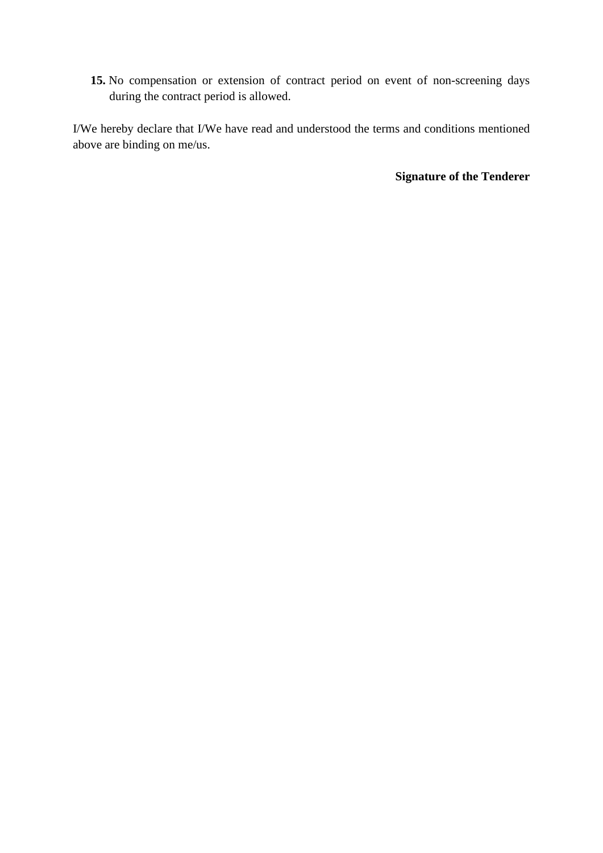**15.** No compensation or extension of contract period on event of non-screening days during the contract period is allowed.

I/We hereby declare that I/We have read and understood the terms and conditions mentioned above are binding on me/us.

**Signature of the Tenderer**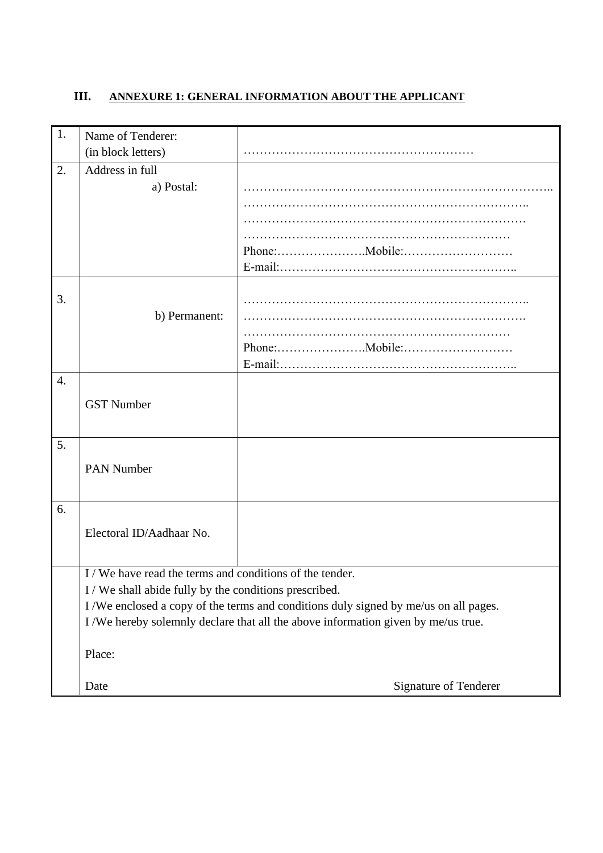# **III. ANNEXURE 1: GENERAL INFORMATION ABOUT THE APPLICANT**

| 1. | Name of Tenderer:                                      |                                                                                     |
|----|--------------------------------------------------------|-------------------------------------------------------------------------------------|
|    | (in block letters)                                     |                                                                                     |
| 2. | Address in full                                        |                                                                                     |
|    | a) Postal:                                             |                                                                                     |
|    |                                                        |                                                                                     |
|    |                                                        |                                                                                     |
|    |                                                        |                                                                                     |
|    |                                                        |                                                                                     |
|    |                                                        |                                                                                     |
|    |                                                        |                                                                                     |
| 3. | b) Permanent:                                          |                                                                                     |
|    |                                                        |                                                                                     |
|    |                                                        |                                                                                     |
|    |                                                        |                                                                                     |
| 4. |                                                        |                                                                                     |
|    |                                                        |                                                                                     |
|    | <b>GST Number</b>                                      |                                                                                     |
|    |                                                        |                                                                                     |
| 5. |                                                        |                                                                                     |
|    | <b>PAN Number</b>                                      |                                                                                     |
|    |                                                        |                                                                                     |
|    |                                                        |                                                                                     |
| 6. |                                                        |                                                                                     |
|    | Electoral ID/Aadhaar No.                               |                                                                                     |
|    |                                                        |                                                                                     |
|    | I/We have read the terms and conditions of the tender. |                                                                                     |
|    | I/We shall abide fully by the conditions prescribed.   |                                                                                     |
|    |                                                        | I/We enclosed a copy of the terms and conditions duly signed by me/us on all pages. |
|    |                                                        | I/We hereby solemnly declare that all the above information given by me/us true.    |
|    |                                                        |                                                                                     |
|    | Place:                                                 |                                                                                     |
|    |                                                        |                                                                                     |
|    | Date                                                   | Signature of Tenderer                                                               |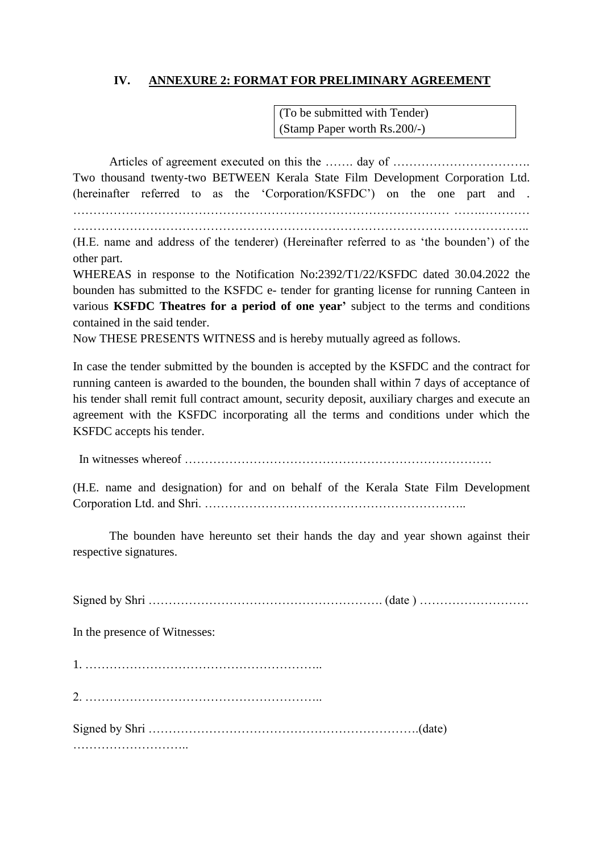### **IV. ANNEXURE 2: FORMAT FOR PRELIMINARY AGREEMENT**

(To be submitted with Tender) (Stamp Paper worth Rs.200/-)

Articles of agreement executed on this the ……. day of ……………………………………………………………………… Two thousand twenty-two BETWEEN Kerala State Film Development Corporation Ltd. (hereinafter referred to as the 'Corporation/KSFDC') on the one part and . ………………………………………………………………………………… …….…………

…………………………………………………………………………………………………..

(H.E. name and address of the tenderer) (Hereinafter referred to as 'the bounden') of the other part.

WHEREAS in response to the Notification No:2392/T1/22/KSFDC dated 30.04.2022 the bounden has submitted to the KSFDC e- tender for granting license for running Canteen in various **KSFDC Theatres for a period of one year'** subject to the terms and conditions contained in the said tender.

Now THESE PRESENTS WITNESS and is hereby mutually agreed as follows.

In case the tender submitted by the bounden is accepted by the KSFDC and the contract for running canteen is awarded to the bounden, the bounden shall within 7 days of acceptance of his tender shall remit full contract amount, security deposit, auxiliary charges and execute an agreement with the KSFDC incorporating all the terms and conditions under which the KSFDC accepts his tender.

In witnesses whereof ………………………………………………………………….

(H.E. name and designation) for and on behalf of the Kerala State Film Development Corporation Ltd. and Shri. ………………………………………………………..

The bounden have hereunto set their hands the day and year shown against their respective signatures.

Signed by Shri …………………………………………………. (date ) ………………………

In the presence of Witnesses:

1. …………………………………………………..

2. …………………………………………………..

Signed by Shri ………………………………………………………….(date)

………………………..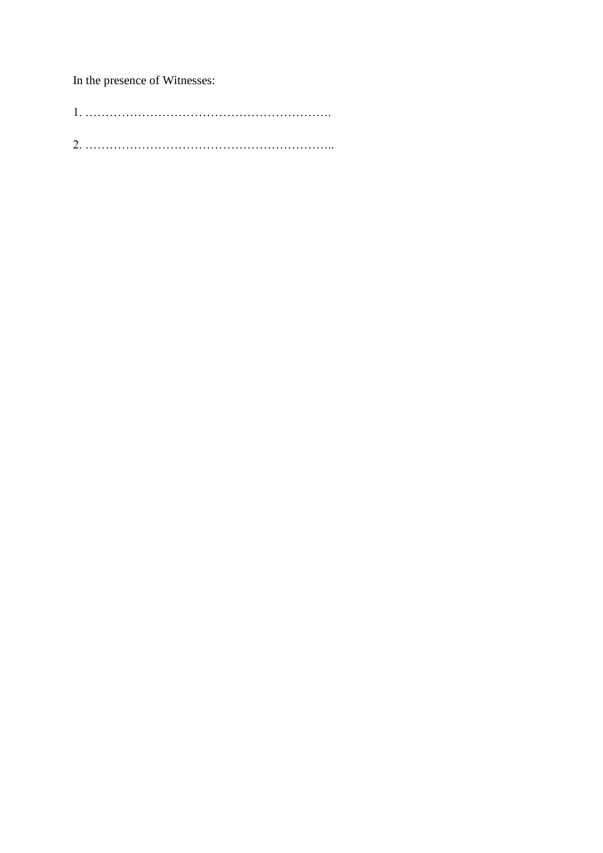In the presence of Witnesses: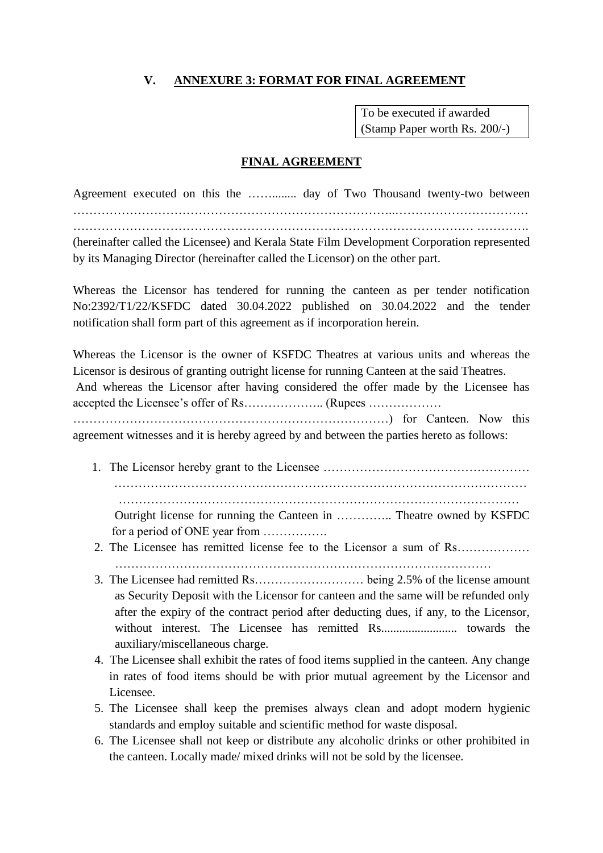### **V. ANNEXURE 3: FORMAT FOR FINAL AGREEMENT**

To be executed if awarded (Stamp Paper worth Rs. 200/-)

#### **FINAL AGREEMENT**

Agreement executed on this the ……........ day of Two Thousand twenty-two between ……………………………………………………………………..…………………………… ……………………………………………………………………………………… …………. (hereinafter called the Licensee) and Kerala State Film Development Corporation represented by its Managing Director (hereinafter called the Licensor) on the other part.

Whereas the Licensor has tendered for running the canteen as per tender notification No:2392/T1/22/KSFDC dated 30.04.2022 published on 30.04.2022 and the tender notification shall form part of this agreement as if incorporation herein.

Whereas the Licensor is the owner of KSFDC Theatres at various units and whereas the Licensor is desirous of granting outright license for running Canteen at the said Theatres. And whereas the Licensor after having considered the offer made by the Licensee has accepted the Licensee's offer of Rs……………….. (Rupees ……………… ……………………………………………………………………) for Canteen. Now this agreement witnesses and it is hereby agreed by and between the parties hereto as follows:

1. The Licensor hereby grant to the Licensee …………………………………………… ………………………………………………………………………………………… ……………………………………………………………………………………… Outright license for running the Canteen in ………….. Theatre owned by KSFDC

for a period of ONE year from …………….

- 2. The Licensee has remitted license fee to the Licensor a sum of Rs……………… . The same state of the state of the state of the state of the state of the state of the state of the state of the state of the state of the state of the state of the state of the state of the state of the state of the st
- 3. The Licensee had remitted Rs……………………… being 2.5% of the license amount as Security Deposit with the Licensor for canteen and the same will be refunded only after the expiry of the contract period after deducting dues, if any, to the Licensor, without interest. The Licensee has remitted Rs......................... towards the auxiliary/miscellaneous charge.
- 4. The Licensee shall exhibit the rates of food items supplied in the canteen. Any change in rates of food items should be with prior mutual agreement by the Licensor and Licensee.
- 5. The Licensee shall keep the premises always clean and adopt modern hygienic standards and employ suitable and scientific method for waste disposal.
- 6. The Licensee shall not keep or distribute any alcoholic drinks or other prohibited in the canteen. Locally made/ mixed drinks will not be sold by the licensee.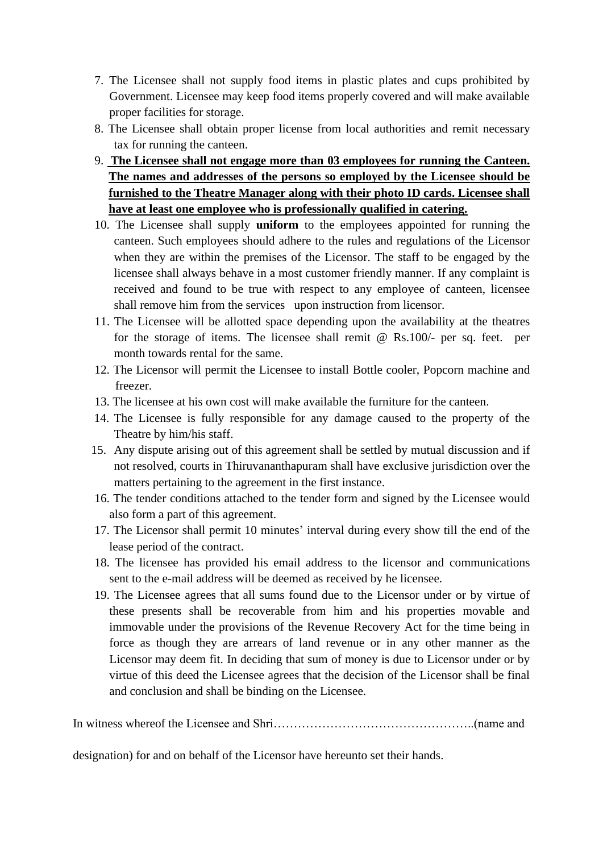- 7. The Licensee shall not supply food items in plastic plates and cups prohibited by Government. Licensee may keep food items properly covered and will make available proper facilities for storage.
- 8. The Licensee shall obtain proper license from local authorities and remit necessary tax for running the canteen.
- 9. **The Licensee shall not engage more than 03 employees for running the Canteen. The names and addresses of the persons so employed by the Licensee should be furnished to the Theatre Manager along with their photo ID cards. Licensee shall have at least one employee who is professionally qualified in catering.**
- 10. The Licensee shall supply **uniform** to the employees appointed for running the canteen. Such employees should adhere to the rules and regulations of the Licensor when they are within the premises of the Licensor. The staff to be engaged by the licensee shall always behave in a most customer friendly manner. If any complaint is received and found to be true with respect to any employee of canteen, licensee shall remove him from the services upon instruction from licensor.
- 11. The Licensee will be allotted space depending upon the availability at the theatres for the storage of items. The licensee shall remit @ Rs.100/- per sq. feet. per month towards rental for the same.
- 12. The Licensor will permit the Licensee to install Bottle cooler, Popcorn machine and freezer.
- 13. The licensee at his own cost will make available the furniture for the canteen.
- 14. The Licensee is fully responsible for any damage caused to the property of the Theatre by him/his staff.
- 15. Any dispute arising out of this agreement shall be settled by mutual discussion and if not resolved, courts in Thiruvananthapuram shall have exclusive jurisdiction over the matters pertaining to the agreement in the first instance.
- 16. The tender conditions attached to the tender form and signed by the Licensee would also form a part of this agreement.
- 17. The Licensor shall permit 10 minutes' interval during every show till the end of the lease period of the contract.
- 18. The licensee has provided his email address to the licensor and communications sent to the e-mail address will be deemed as received by he licensee.
- 19. The Licensee agrees that all sums found due to the Licensor under or by virtue of these presents shall be recoverable from him and his properties movable and immovable under the provisions of the Revenue Recovery Act for the time being in force as though they are arrears of land revenue or in any other manner as the Licensor may deem fit. In deciding that sum of money is due to Licensor under or by virtue of this deed the Licensee agrees that the decision of the Licensor shall be final and conclusion and shall be binding on the Licensee.

In witness whereof the Licensee and Shri…………………………………………..(name and

designation) for and on behalf of the Licensor have hereunto set their hands.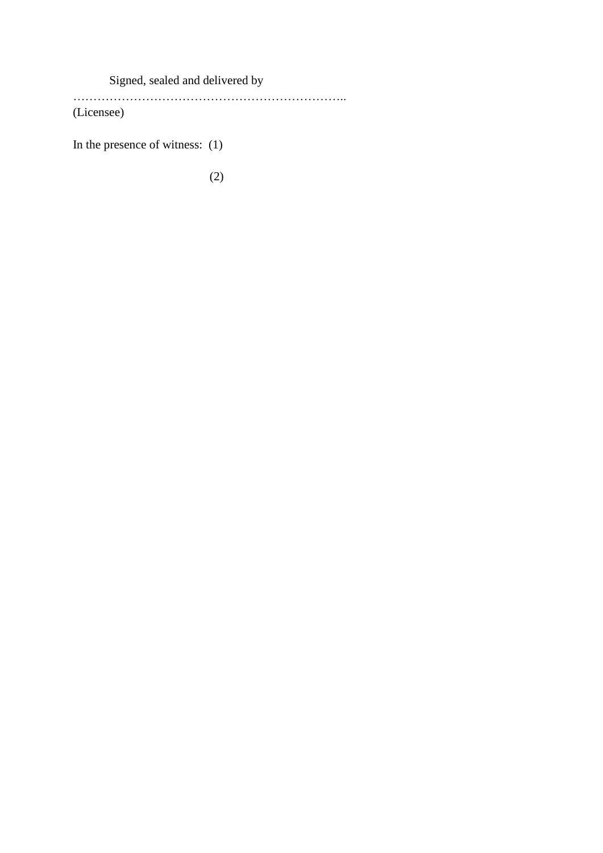Signed, sealed and delivered by

…………………………………………………………..

(Licensee)

In the presence of witness: (1)

(2)